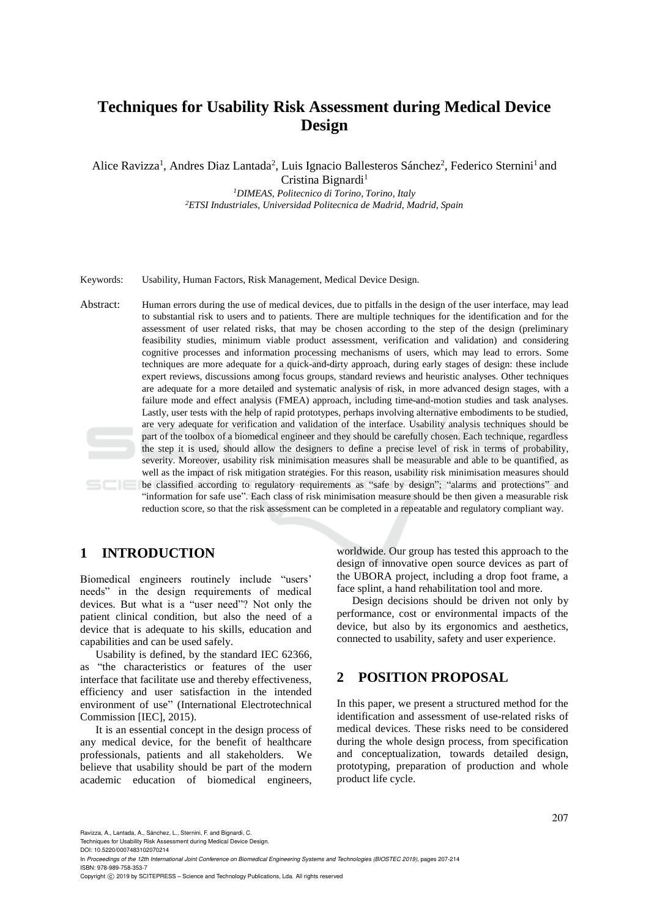## **Techniques for Usability Risk Assessment during Medical Device Design**

Alice Ravizza<sup>1</sup>, Andres Diaz Lantada<sup>2</sup>, Luis Ignacio Ballesteros Sánchez<sup>2</sup>, Federico Sternini<sup>1</sup> and Cristina Bignardi<sup>1</sup>

> *<sup>1</sup>DIMEAS, Politecnico di Torino, Torino, Italy <sup>2</sup>ETSI Industriales, Universidad Politecnica de Madrid, Madrid, Spain*

Keywords: Usability, Human Factors, Risk Management, Medical Device Design.

Abstract: Human errors during the use of medical devices, due to pitfalls in the design of the user interface, may lead to substantial risk to users and to patients. There are multiple techniques for the identification and for the assessment of user related risks, that may be chosen according to the step of the design (preliminary feasibility studies, minimum viable product assessment, verification and validation) and considering cognitive processes and information processing mechanisms of users, which may lead to errors. Some techniques are more adequate for a quick-and-dirty approach, during early stages of design: these include expert reviews, discussions among focus groups, standard reviews and heuristic analyses. Other techniques are adequate for a more detailed and systematic analysis of risk, in more advanced design stages, with a failure mode and effect analysis (FMEA) approach, including time-and-motion studies and task analyses. Lastly, user tests with the help of rapid prototypes, perhaps involving alternative embodiments to be studied, are very adequate for verification and validation of the interface. Usability analysis techniques should be part of the toolbox of a biomedical engineer and they should be carefully chosen. Each technique, regardless the step it is used, should allow the designers to define a precise level of risk in terms of probability, severity. Moreover, usability risk minimisation measures shall be measurable and able to be quantified, as well as the impact of risk mitigation strategies. For this reason, usability risk minimisation measures should be classified according to regulatory requirements as "safe by design"; "alarms and protections" and "information for safe use". Each class of risk minimisation measure should be then given a measurable risk reduction score, so that the risk assessment can be completed in a repeatable and regulatory compliant way.

## **1 INTRODUCTION**

Biomedical engineers routinely include "users' needs" in the design requirements of medical devices. But what is a "user need"? Not only the patient clinical condition, but also the need of a device that is adequate to his skills, education and capabilities and can be used safely.

Usability is defined, by the standard IEC 62366, as "the characteristics or features of the user interface that facilitate use and thereby effectiveness, efficiency and user satisfaction in the intended environment of use" (International Electrotechnical Commission [IEC], 2015).

It is an essential concept in the design process of any medical device, for the benefit of healthcare professionals, patients and all stakeholders. We believe that usability should be part of the modern academic education of biomedical engineers,

worldwide. Our group has tested this approach to the design of innovative open source devices as part of the UBORA project, including a drop foot frame, a face splint, a hand rehabilitation tool and more.

Design decisions should be driven not only by performance, cost or environmental impacts of the device, but also by its ergonomics and aesthetics, connected to usability, safety and user experience.

## **2 POSITION PROPOSAL**

In this paper, we present a structured method for the identification and assessment of use-related risks of medical devices. These risks need to be considered during the whole design process, from specification and conceptualization, towards detailed design, prototyping, preparation of production and whole product life cycle.

Ravizza, A., Lantada, A., Sánchez, L., Sternini, F. and Bignardi, C.

Techniques for Usability Risk Assessment during Medical Device Design.

DOI: 10.5220/0007483102070214

In *Proceedings of the 12th International Joint Conference on Biomedical Engineering Systems and Technologies (BIOSTEC 2019)*, pages 207-214 ISBN: 978-989-758-353-7

Copyright © 2019 by SCITEPRESS - Science and Technology Publications, Lda. All rights reserved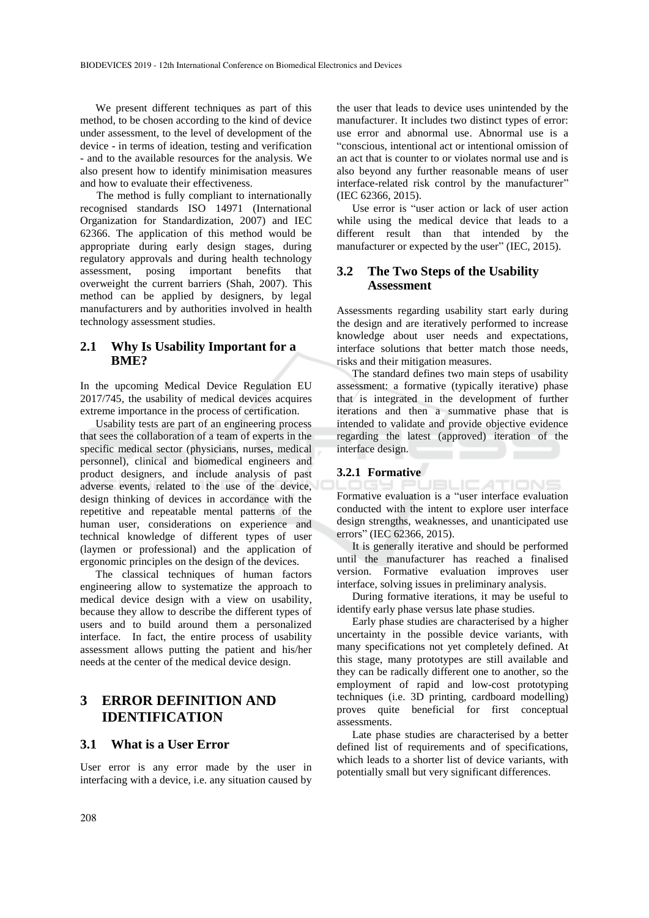We present different techniques as part of this method, to be chosen according to the kind of device under assessment, to the level of development of the device - in terms of ideation, testing and verification - and to the available resources for the analysis. We also present how to identify minimisation measures and how to evaluate their effectiveness.

The method is fully compliant to internationally recognised standards ISO 14971 (International Organization for Standardization, 2007) and IEC 62366. The application of this method would be appropriate during early design stages, during regulatory approvals and during health technology assessment, posing important benefits that overweight the current barriers (Shah, 2007). This method can be applied by designers, by legal manufacturers and by authorities involved in health technology assessment studies.

#### **2.1 Why Is Usability Important for a BME?**

In the upcoming Medical Device Regulation EU 2017/745, the usability of medical devices acquires extreme importance in the process of certification.

Usability tests are part of an engineering process that sees the collaboration of a team of experts in the specific medical sector (physicians, nurses, medical personnel), clinical and biomedical engineers and product designers, and include analysis of past adverse events, related to the use of the device, design thinking of devices in accordance with the repetitive and repeatable mental patterns of the human user, considerations on experience and technical knowledge of different types of user (laymen or professional) and the application of ergonomic principles on the design of the devices.

The classical techniques of human factors engineering allow to systematize the approach to medical device design with a view on usability, because they allow to describe the different types of users and to build around them a personalized interface. In fact, the entire process of usability assessment allows putting the patient and his/her needs at the center of the medical device design.

## **3 ERROR DEFINITION AND IDENTIFICATION**

#### **3.1 What is a User Error**

User error is any error made by the user in interfacing with a device, i.e. any situation caused by

the user that leads to device uses unintended by the manufacturer. It includes two distinct types of error: use error and abnormal use. Abnormal use is a "conscious, intentional act or intentional omission of an act that is counter to or violates normal use and is also beyond any further reasonable means of user interface-related risk control by the manufacturer" (IEC 62366, 2015).

Use error is "user action or lack of user action while using the medical device that leads to a different result than that intended by the manufacturer or expected by the user" (IEC, 2015).

## **3.2 The Two Steps of the Usability Assessment**

Assessments regarding usability start early during the design and are iteratively performed to increase knowledge about user needs and expectations, interface solutions that better match those needs, risks and their mitigation measures.

The standard defines two main steps of usability assessment: a formative (typically iterative) phase that is integrated in the development of further iterations and then a summative phase that is intended to validate and provide objective evidence regarding the latest (approved) iteration of the interface design.

# **3.2.1 Formative**

Formative evaluation is a "user interface evaluation conducted with the intent to explore user interface design strengths, weaknesses, and unanticipated use errors" (IEC 62366, 2015).

It is generally iterative and should be performed until the manufacturer has reached a finalised version. Formative evaluation improves user interface, solving issues in preliminary analysis.

During formative iterations, it may be useful to identify early phase versus late phase studies.

Early phase studies are characterised by a higher uncertainty in the possible device variants, with many specifications not yet completely defined. At this stage, many prototypes are still available and they can be radically different one to another, so the employment of rapid and low-cost prototyping techniques (i.e. 3D printing, cardboard modelling) proves quite beneficial for first conceptual assessments.

Late phase studies are characterised by a better defined list of requirements and of specifications, which leads to a shorter list of device variants, with potentially small but very significant differences.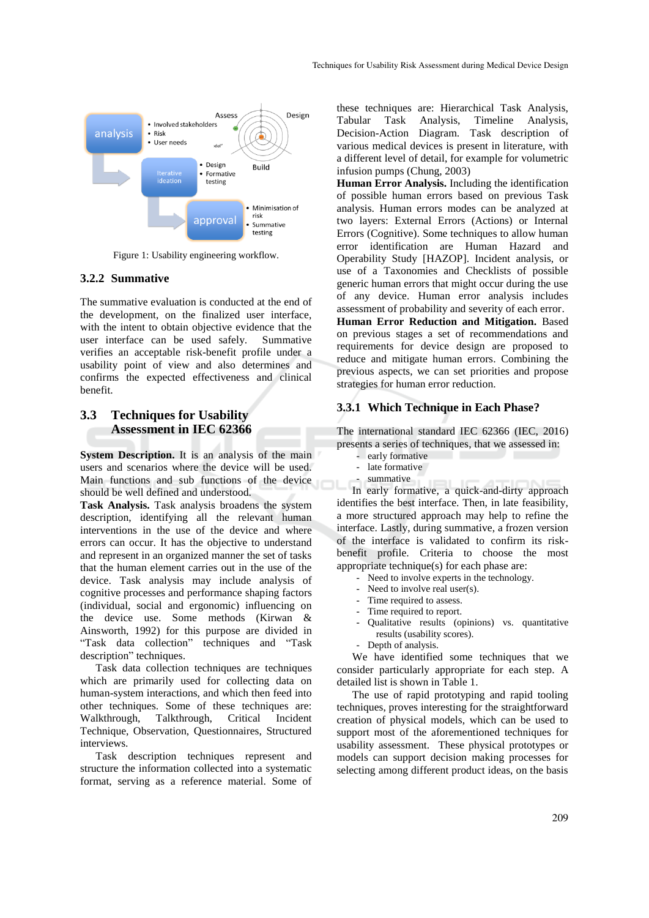

Figure 1: Usability engineering workflow.

#### **3.2.2 Summative**

The summative evaluation is conducted at the end of the development, on the finalized user interface, with the intent to obtain objective evidence that the user interface can be used safely. Summative verifies an acceptable risk-benefit profile under a usability point of view and also determines and confirms the expected effectiveness and clinical benefit.

## **3.3 Techniques for Usability Assessment in IEC 62366**

**System Description.** It is an analysis of the main users and scenarios where the device will be used. Main functions and sub functions of the device should be well defined and understood.

**Task Analysis.** Task analysis broadens the system description, identifying all the relevant human interventions in the use of the device and where errors can occur. It has the objective to understand and represent in an organized manner the set of tasks that the human element carries out in the use of the device. Task analysis may include analysis of cognitive processes and performance shaping factors (individual, social and ergonomic) influencing on the device use. Some methods (Kirwan & Ainsworth, 1992) for this purpose are divided in "Task data collection" techniques and "Task description" techniques.

Task data collection techniques are techniques which are primarily used for collecting data on human-system interactions, and which then feed into other techniques. Some of these techniques are: Walkthrough, Talkthrough, Critical Incident Technique, Observation, Questionnaires, Structured interviews.

Task description techniques represent and structure the information collected into a systematic format, serving as a reference material. Some of

these techniques are: Hierarchical Task Analysis, Tabular Task Analysis, Timeline Analysis, Decision-Action Diagram. Task description of various medical devices is present in literature, with a different level of detail, for example for volumetric infusion pumps (Chung, 2003)

**Human Error Analysis.** Including the identification of possible human errors based on previous Task analysis. Human errors modes can be analyzed at two layers: External Errors (Actions) or Internal Errors (Cognitive). Some techniques to allow human error identification are Human Hazard and Operability Study [HAZOP]. Incident analysis, or use of a Taxonomies and Checklists of possible generic human errors that might occur during the use of any device. Human error analysis includes assessment of probability and severity of each error.

**Human Error Reduction and Mitigation.** Based on previous stages a set of recommendations and requirements for device design are proposed to reduce and mitigate human errors. Combining the previous aspects, we can set priorities and propose strategies for human error reduction.

#### **3.3.1 Which Technique in Each Phase?**

The international standard IEC 62366 (IEC, 2016) presents a series of techniques, that we assessed in:

- early formative
- late formative
- summative

In early formative, a quick-and-dirty approach identifies the best interface. Then, in late feasibility, a more structured approach may help to refine the interface. Lastly, during summative, a frozen version of the interface is validated to confirm its riskbenefit profile. Criteria to choose the most appropriate technique(s) for each phase are:

- Need to involve experts in the technology.
- Need to involve real user(s).
- Time required to assess.
- Time required to report.
- Qualitative results (opinions) vs. quantitative results (usability scores).
- Depth of analysis.

We have identified some techniques that we consider particularly appropriate for each step. A detailed list is shown in Table 1.

The use of rapid prototyping and rapid tooling techniques, proves interesting for the straightforward creation of physical models, which can be used to support most of the aforementioned techniques for usability assessment. These physical prototypes or models can support decision making processes for selecting among different product ideas, on the basis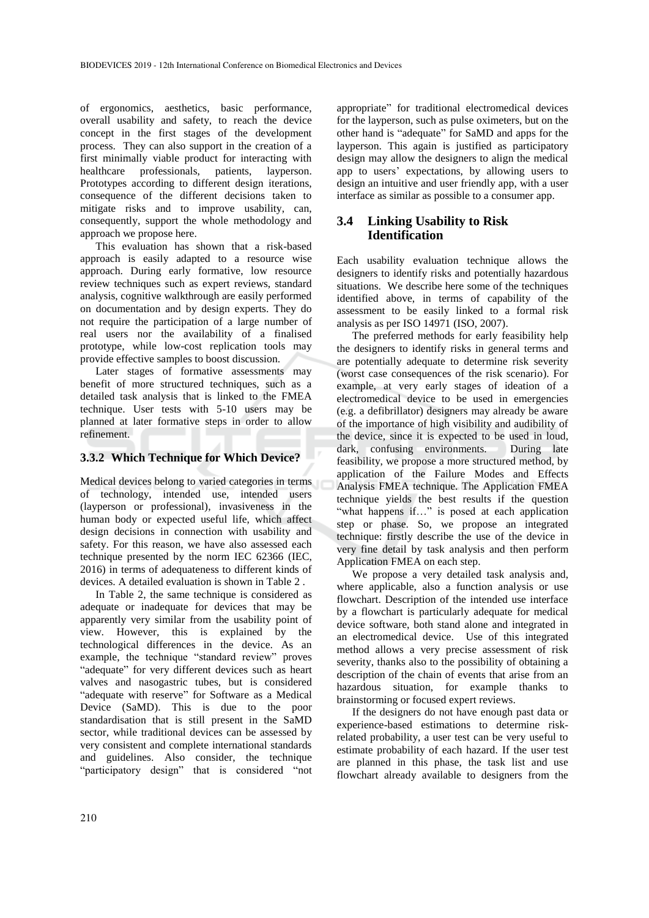of ergonomics, aesthetics, basic performance, overall usability and safety, to reach the device concept in the first stages of the development process. They can also support in the creation of a first minimally viable product for interacting with healthcare professionals, patients, layperson. Prototypes according to different design iterations, consequence of the different decisions taken to mitigate risks and to improve usability, can, consequently, support the whole methodology and approach we propose here.

This evaluation has shown that a risk-based approach is easily adapted to a resource wise approach. During early formative, low resource review techniques such as expert reviews, standard analysis, cognitive walkthrough are easily performed on documentation and by design experts. They do not require the participation of a large number of real users nor the availability of a finalised prototype, while low-cost replication tools may provide effective samples to boost discussion.

Later stages of formative assessments may benefit of more structured techniques, such as a detailed task analysis that is linked to the FMEA technique. User tests with 5-10 users may be planned at later formative steps in order to allow refinement.

#### **3.3.2 Which Technique for Which Device?**

Medical devices belong to varied categories in terms of technology, intended use, intended users (layperson or professional), invasiveness in the human body or expected useful life, which affect design decisions in connection with usability and safety. For this reason, we have also assessed each technique presented by the norm IEC 62366 (IEC, 2016) in terms of adequateness to different kinds of devices. A detailed evaluation is shown in Table 2 .

In Table 2, the same technique is considered as adequate or inadequate for devices that may be apparently very similar from the usability point of view. However, this is explained by the technological differences in the device. As an example, the technique "standard review" proves "adequate" for very different devices such as heart valves and nasogastric tubes, but is considered "adequate with reserve" for Software as a Medical Device (SaMD). This is due to the poor standardisation that is still present in the SaMD sector, while traditional devices can be assessed by very consistent and complete international standards and guidelines. Also consider, the technique "participatory design" that is considered "not

appropriate" for traditional electromedical devices for the layperson, such as pulse oximeters, but on the other hand is "adequate" for SaMD and apps for the layperson. This again is justified as participatory design may allow the designers to align the medical app to users' expectations, by allowing users to design an intuitive and user friendly app, with a user interface as similar as possible to a consumer app.

## **3.4 Linking Usability to Risk Identification**

Each usability evaluation technique allows the designers to identify risks and potentially hazardous situations. We describe here some of the techniques identified above, in terms of capability of the assessment to be easily linked to a formal risk analysis as per ISO 14971 (ISO, 2007).

The preferred methods for early feasibility help the designers to identify risks in general terms and are potentially adequate to determine risk severity (worst case consequences of the risk scenario). For example, at very early stages of ideation of a electromedical device to be used in emergencies (e.g. a defibrillator) designers may already be aware of the importance of high visibility and audibility of the device, since it is expected to be used in loud, dark, confusing environments. During late feasibility, we propose a more structured method, by application of the Failure Modes and Effects Analysis FMEA technique. The Application FMEA technique yields the best results if the question "what happens if…" is posed at each application step or phase. So, we propose an integrated technique: firstly describe the use of the device in very fine detail by task analysis and then perform Application FMEA on each step.

We propose a very detailed task analysis and, where applicable, also a function analysis or use flowchart. Description of the intended use interface by a flowchart is particularly adequate for medical device software, both stand alone and integrated in an electromedical device. Use of this integrated method allows a very precise assessment of risk severity, thanks also to the possibility of obtaining a description of the chain of events that arise from an hazardous situation, for example thanks to brainstorming or focused expert reviews.

If the designers do not have enough past data or experience-based estimations to determine riskrelated probability, a user test can be very useful to estimate probability of each hazard. If the user test are planned in this phase, the task list and use flowchart already available to designers from the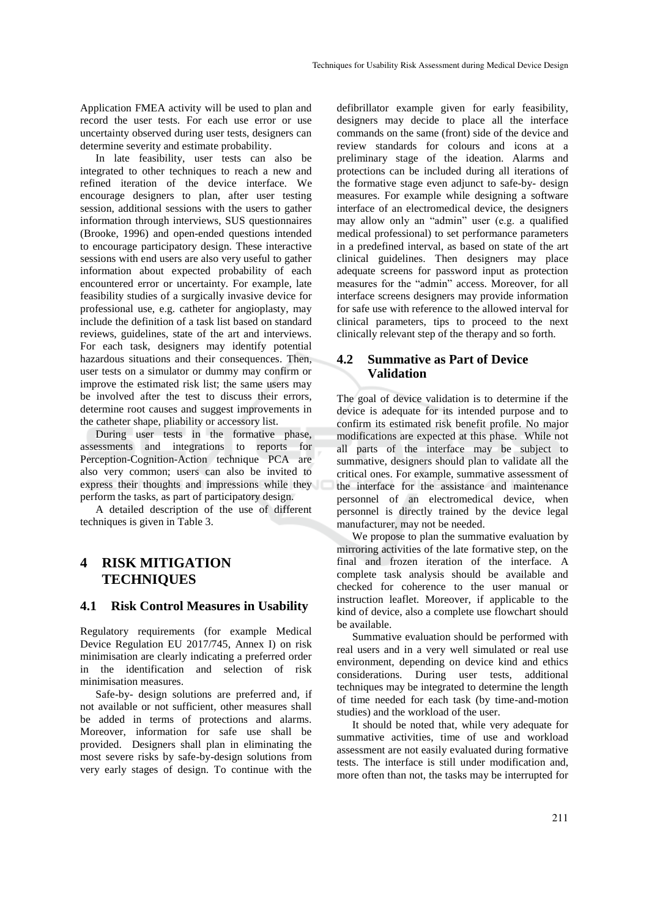Application FMEA activity will be used to plan and record the user tests. For each use error or use uncertainty observed during user tests, designers can determine severity and estimate probability.

In late feasibility, user tests can also be integrated to other techniques to reach a new and refined iteration of the device interface. We encourage designers to plan, after user testing session, additional sessions with the users to gather information through interviews, SUS questionnaires (Brooke, 1996) and open-ended questions intended to encourage participatory design. These interactive sessions with end users are also very useful to gather information about expected probability of each encountered error or uncertainty. For example, late feasibility studies of a surgically invasive device for professional use, e.g. catheter for angioplasty, may include the definition of a task list based on standard reviews, guidelines, state of the art and interviews. For each task, designers may identify potential hazardous situations and their consequences. Then, user tests on a simulator or dummy may confirm or improve the estimated risk list; the same users may be involved after the test to discuss their errors, determine root causes and suggest improvements in the catheter shape, pliability or accessory list.

During user tests in the formative phase, assessments and integrations to reports for Perception-Cognition-Action technique PCA are also very common; users can also be invited to express their thoughts and impressions while they perform the tasks, as part of participatory design.

A detailed description of the use of different techniques is given in Table 3.

## **4 RISK MITIGATION TECHNIQUES**

## **4.1 Risk Control Measures in Usability**

Regulatory requirements (for example Medical Device Regulation EU 2017/745, Annex I) on risk minimisation are clearly indicating a preferred order in the identification and selection of risk minimisation measures.

Safe-by- design solutions are preferred and, if not available or not sufficient, other measures shall be added in terms of protections and alarms. Moreover, information for safe use shall be provided. Designers shall plan in eliminating the most severe risks by safe-by-design solutions from very early stages of design. To continue with the

defibrillator example given for early feasibility, designers may decide to place all the interface commands on the same (front) side of the device and review standards for colours and icons at a preliminary stage of the ideation. Alarms and protections can be included during all iterations of the formative stage even adjunct to safe-by- design measures. For example while designing a software interface of an electromedical device, the designers may allow only an "admin" user (e.g. a qualified medical professional) to set performance parameters in a predefined interval, as based on state of the art clinical guidelines. Then designers may place adequate screens for password input as protection measures for the "admin" access. Moreover, for all interface screens designers may provide information for safe use with reference to the allowed interval for clinical parameters, tips to proceed to the next clinically relevant step of the therapy and so forth.

#### **4.2 Summative as Part of Device Validation**

The goal of device validation is to determine if the device is adequate for its intended purpose and to confirm its estimated risk benefit profile. No major modifications are expected at this phase. While not all parts of the interface may be subject to summative, designers should plan to validate all the critical ones. For example, summative assessment of the interface for the assistance and maintenance personnel of an electromedical device, when personnel is directly trained by the device legal manufacturer, may not be needed.

We propose to plan the summative evaluation by mirroring activities of the late formative step, on the final and frozen iteration of the interface. A complete task analysis should be available and checked for coherence to the user manual or instruction leaflet. Moreover, if applicable to the kind of device, also a complete use flowchart should be available.

Summative evaluation should be performed with real users and in a very well simulated or real use environment, depending on device kind and ethics considerations. During user tests, additional techniques may be integrated to determine the length of time needed for each task (by time-and-motion studies) and the workload of the user.

It should be noted that, while very adequate for summative activities, time of use and workload assessment are not easily evaluated during formative tests. The interface is still under modification and, more often than not, the tasks may be interrupted for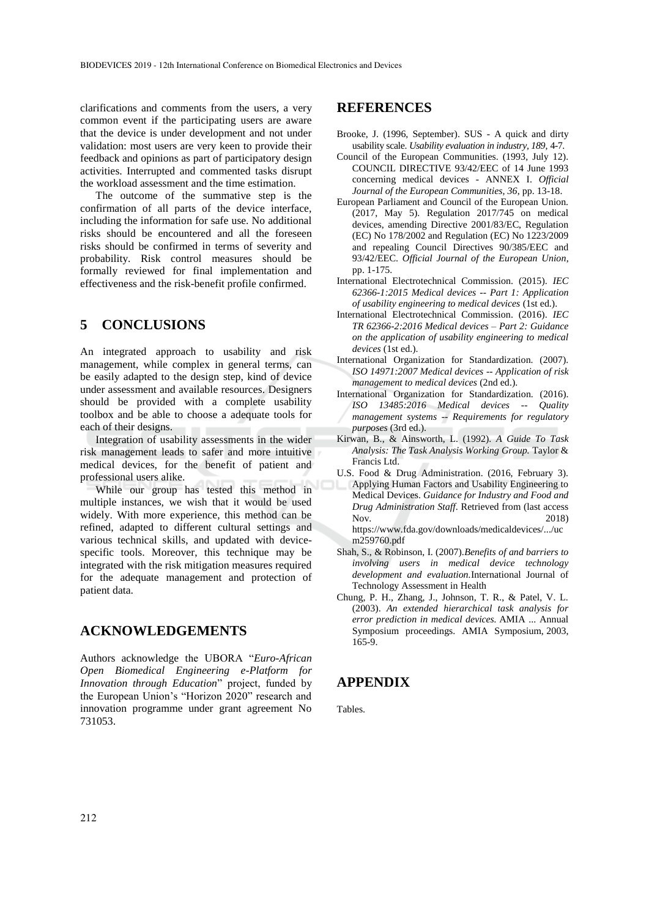clarifications and comments from the users, a very common event if the participating users are aware that the device is under development and not under validation: most users are very keen to provide their feedback and opinions as part of participatory design activities. Interrupted and commented tasks disrupt the workload assessment and the time estimation.

The outcome of the summative step is the confirmation of all parts of the device interface, including the information for safe use. No additional risks should be encountered and all the foreseen risks should be confirmed in terms of severity and probability. Risk control measures should be formally reviewed for final implementation and effectiveness and the risk-benefit profile confirmed.

## **5 CONCLUSIONS**

An integrated approach to usability and risk management, while complex in general terms, can be easily adapted to the design step, kind of device under assessment and available resources. Designers should be provided with a complete usability toolbox and be able to choose a adequate tools for each of their designs.

Integration of usability assessments in the wider risk management leads to safer and more intuitive medical devices, for the benefit of patient and professional users alike.

While our group has tested this method in multiple instances, we wish that it would be used widely. With more experience, this method can be refined, adapted to different cultural settings and various technical skills, and updated with devicespecific tools. Moreover, this technique may be integrated with the risk mitigation measures required for the adequate management and protection of patient data.

## **ACKNOWLEDGEMENTS**

Authors acknowledge the UBORA "*Euro-African Open Biomedical Engineering e-Platform for Innovation through Education*" project, funded by the European Union's "Horizon 2020" research and innovation programme under grant agreement No 731053.

#### **REFERENCES**

- Brooke, J. (1996, September). SUS A quick and dirty usability scale. *Usability evaluation in industry, 189*, 4-7.
- Council of the European Communities. (1993, July 12). COUNCIL DIRECTIVE 93/42/EEC of 14 June 1993 concerning medical devices - ANNEX I. *Official Journal of the European Communities, 36*, pp. 13-18.
- European Parliament and Council of the European Union. (2017, May 5). Regulation 2017/745 on medical devices, amending Directive 2001/83/EC, Regulation (EC) No 178/2002 and Regulation (EC) No 1223/2009 and repealing Council Directives 90/385/EEC and 93/42/EEC. *Official Journal of the European Union*, pp. 1-175.
- International Electrotechnical Commission. (2015). *IEC 62366-1:2015 Medical devices -- Part 1: Application of usability engineering to medical devices* (1st ed.).
- International Electrotechnical Commission. (2016). *IEC TR 62366-2:2016 Medical devices – Part 2: Guidance on the application of usability engineering to medical devices* (1st ed.).
- International Organization for Standardization. (2007). *ISO 14971:2007 Medical devices -- Application of risk management to medical devices* (2nd ed.).
- International Organization for Standardization. (2016). *ISO 13485:2016 Medical devices -- Quality management systems -- Requirements for regulatory purposes* (3rd ed.).
- Kirwan, B., & Ainsworth, L. (1992). *A Guide To Task Analysis: The Task Analysis Working Group.* Taylor & Francis Ltd.
- U.S. Food & Drug Administration. (2016, February 3). Applying Human Factors and Usability Engineering to Medical Devices. *Guidance for Industry and Food and Drug Administration Staff*. Retrieved from (last access Nov. 2018) https://www.fda.gov/downloads/medicaldevices/.../uc
- m259760.pdf
- Shah, S., & Robinson, I. (2007).*Benefits of and barriers to involving users in medical device technology development and evaluation.*International Journal of Technology Assessment in Health
- Chung, P. H., Zhang, J., Johnson, T. R., & Patel, V. L. (2003). *An extended hierarchical task analysis for error prediction in medical devices.* AMIA ... Annual Symposium proceedings. AMIA Symposium, 2003, 165-9.

#### **APPENDIX**

Tables.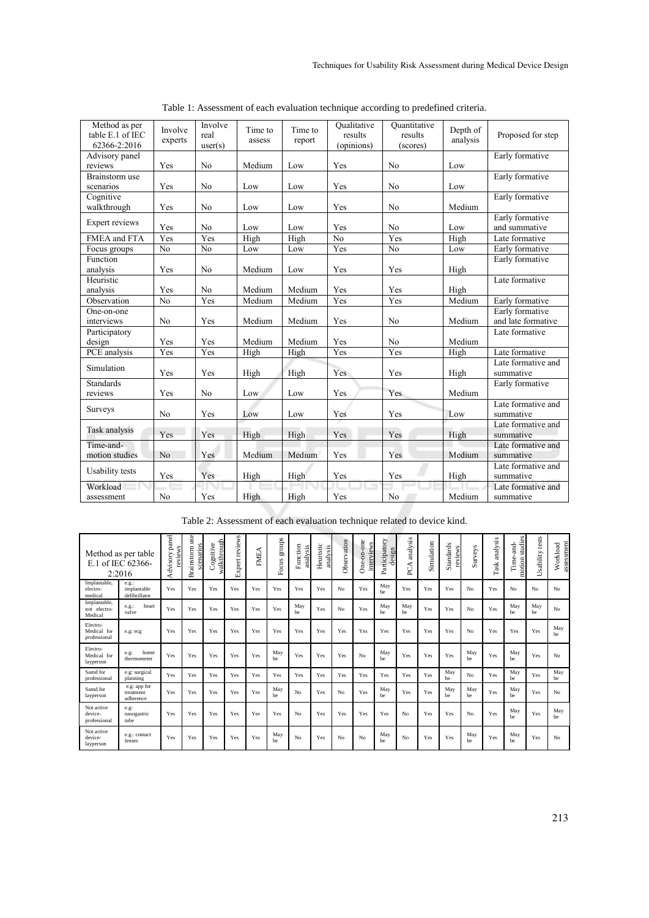| Method as per<br>table E.1 of IEC<br>62366-2:2016 | Involve<br>experts | Involve<br>real<br>user(s) | Time to<br>assess | Time to<br>report | <b>Qualitative</b><br>results<br>(opinions) | Ouantitative<br>results<br>(scores) | Depth of<br>analysis | Proposed for step  |  |
|---------------------------------------------------|--------------------|----------------------------|-------------------|-------------------|---------------------------------------------|-------------------------------------|----------------------|--------------------|--|
| Advisory panel                                    |                    |                            |                   |                   |                                             |                                     |                      | Early formative    |  |
| reviews                                           | Yes                | N <sub>0</sub>             | Medium            | Low               | Yes                                         | No                                  | Low                  |                    |  |
| Brainstorm use                                    |                    |                            |                   |                   |                                             |                                     |                      | Early formative    |  |
| scenarios                                         | Yes                | N <sub>0</sub>             | Low               | Low               | Yes                                         | N <sub>o</sub>                      | Low                  |                    |  |
| Cognitive                                         |                    |                            |                   |                   |                                             |                                     |                      | Early formative    |  |
| walkthrough                                       | Yes                | N <sub>0</sub>             | Low               | Low               | Yes                                         | No                                  | Medium               |                    |  |
| Expert reviews                                    |                    |                            |                   |                   |                                             |                                     |                      | Early formative    |  |
|                                                   | Yes                | N <sub>0</sub>             | Low               | Low               | Yes                                         | No                                  | Low                  | and summative      |  |
| FMEA and FTA                                      | Yes                | Yes                        | High              | High              | No                                          | Yes                                 | High                 | Late formative     |  |
| Focus groups                                      | N <sub>0</sub>     | $\overline{No}$            | Low               | Low               | Yes                                         | N <sub>o</sub>                      | Low                  | Early formative    |  |
| Function                                          |                    |                            |                   |                   |                                             |                                     |                      | Early formative    |  |
| analysis                                          | Yes                | N <sub>0</sub>             | Medium            | Low               | Yes                                         | Yes                                 | High                 |                    |  |
| Heuristic                                         |                    |                            |                   |                   |                                             |                                     |                      | Late formative     |  |
| analysis                                          | Yes                | No                         | Medium            | Medium            | Yes                                         | Yes                                 | High                 |                    |  |
| Observation                                       | N <sub>o</sub>     | Yes                        | Medium            | Medium            | Yes                                         | Yes                                 | Medium               | Early formative    |  |
| One-on-one                                        |                    |                            |                   |                   |                                             |                                     |                      | Early formative    |  |
| interviews                                        | N <sub>0</sub>     | Yes                        | Medium            | Medium            | Yes                                         | N <sub>0</sub>                      | Medium               | and late formative |  |
| Participatory                                     |                    |                            |                   |                   |                                             |                                     |                      | Late formative     |  |
| design                                            | Yes                | Yes                        | Medium            | Medium            | Yes                                         | N <sub>0</sub>                      | Medium               |                    |  |
| PCE analysis                                      | Yes                | Yes                        | High              | High              | Yes                                         | Yes                                 | High                 | Late formative     |  |
| Simulation                                        |                    |                            |                   |                   |                                             |                                     |                      | Late formative and |  |
|                                                   | Yes                | Yes                        | High              | High              | Yes                                         | Yes                                 | High                 | summative          |  |
| <b>Standards</b>                                  |                    |                            |                   |                   |                                             |                                     |                      | Early formative    |  |
| reviews                                           | Yes                | N <sub>0</sub>             | Low               | Low               | Yes                                         | Yes                                 | Medium               |                    |  |
| <b>Surveys</b>                                    |                    |                            |                   |                   |                                             |                                     |                      | Late formative and |  |
|                                                   | N <sub>0</sub>     | Yes                        | Low               | Low               | Yes                                         | Yes                                 | Low                  | summative          |  |
| Task analysis                                     |                    |                            |                   |                   |                                             |                                     |                      | Late formative and |  |
|                                                   | Yes                | Yes                        | High              | High              | Yes                                         | Yes                                 | High                 | summative          |  |
| Time-and-                                         |                    |                            |                   |                   |                                             |                                     |                      | Late formative and |  |
| motion studies                                    | No                 | Yes                        | Medium            | Medium            | Yes                                         | Yes                                 | Medium               | summative          |  |
| Usability tests                                   |                    |                            |                   |                   |                                             |                                     |                      | Late formative and |  |
|                                                   | Yes                | Yes                        | High              | High              | Yes                                         | Yes                                 | High                 | summative          |  |
| Workload                                          |                    |                            |                   |                   |                                             |                                     |                      | Late formative and |  |
| assessment                                        | No                 | Yes                        | High              | High              | Yes                                         | N <sub>o</sub>                      | Medium               | summative          |  |
|                                                   |                    |                            |                   |                   |                                             |                                     |                      |                    |  |

Table 1: Assessment of each evaluation technique according to predefined criteria.

|                                         | Method as per table<br>E.1 of IEC 62366-<br>2:2016 | panel<br>reviews<br>Advisory | use<br>scenarios<br>Brainstorm | walkthrough<br>gnitive<br>රි | Expert reviews | FMEA | groups<br>Focus | Function<br>analysis | Heuristic<br>analysis | Observation | -one<br>interviews<br>One-on | Participatory<br>gn<br>desi | analysis<br>∢<br>S | Simulation | Standards<br>reviews | Surveys        | analysis<br>$_{\rm Task}$ | studies<br>and-<br>Time-<br>motion | tests<br>Usability | assessment<br>Workload |
|-----------------------------------------|----------------------------------------------------|------------------------------|--------------------------------|------------------------------|----------------|------|-----------------|----------------------|-----------------------|-------------|------------------------------|-----------------------------|--------------------|------------|----------------------|----------------|---------------------------|------------------------------------|--------------------|------------------------|
| Implantable,<br>electro-<br>medical     | $e.g.$ :<br>implantable<br>defibrillator           | Yes                          | Yes                            | Yes                          | Yes            | Yes  | Yes             | Yes                  | Yes                   | No          | Yes                          | May<br>be                   | Yes                | Yes        | Yes                  | N <sub>o</sub> | Yes                       | No                                 | No                 | No                     |
| Implantable,<br>not electro-<br>Medical | heart<br>$e.g.$ :<br>valve                         | Yes                          | Yes                            | Yes                          | Yes            | Yes  | Yes             | May<br>be            | Yes                   | No          | Yes                          | May<br>be                   | May<br>be          | Yes        | Yes                  | No             | Yes                       | May<br>be                          | May<br>be          | No                     |
| Electro-<br>Medical for<br>professional | e.g: ecg                                           | Yes                          | Yes                            | Yes                          | Yes            | Yes  | Yes             | Yes                  | Yes                   | Yes         | Yes                          | Yes                         | Yes                | Yes        | Yes                  | No             | Yes                       | Yes                                | Yes                | May<br>he.             |
| Electro-<br>Medical for<br>layperson    | home<br>e.g.<br>thermometer                        | Yes                          | Yes                            | Yes                          | Yes            | Yes  | May<br>be       | Yes                  | Yes                   | Yes         | N <sub>o</sub>               | May<br>be                   | Yes                | Yes        | Yes                  | May<br>he.     | Yes                       | May<br>be                          | Yes                | N <sub>o</sub>         |
| Samd for<br>professional                | e.g: surgical<br>planning                          | Yes                          | Yes                            | Yes                          | Yes            | Yes  | Yes             | Yes                  | Yes                   | Yes         | Yes                          | Yes                         | Yes                | Yes        | May<br>be            | No             | Yes                       | May<br>be                          | Yes                | May<br>be              |
| Samd for<br>layperson                   | e.g: app for<br>treatment<br>adherence             | Yes                          | Yes                            | Yes                          | Yes            | Yes  | May<br>be       | No                   | Yes                   | No          | Yes                          | May<br>be                   | Yes                | Yes        | May<br>be            | May<br>be      | Yes                       | May<br>be                          | Yes                | No                     |
| Not active<br>device-<br>professional   | e.g.<br>nasogastric<br>tube                        | Yes                          | Yes                            | Yes                          | Yes            | Yes  | Yes             | No                   | Yes                   | Yes         | Yes                          | Yes                         | N <sub>o</sub>     | Yes        | Yes                  | N <sub>o</sub> | Yes                       | May<br>be                          | Yes                | May<br>be              |
| Not active<br>device-<br>layperson      | e.g.: contact<br>lenses                            | Yes                          | Yes                            | Yes                          | Yes            | Yes  | May<br>be       | No                   | Yes                   | No          | N <sub>o</sub>               | May<br>be                   | N <sub>o</sub>     | Yes        | Yes                  | May<br>be      | Yes                       | May<br>be                          | Yes                | No                     |

Table 2: Assessment of each evaluation technique related to device kind.